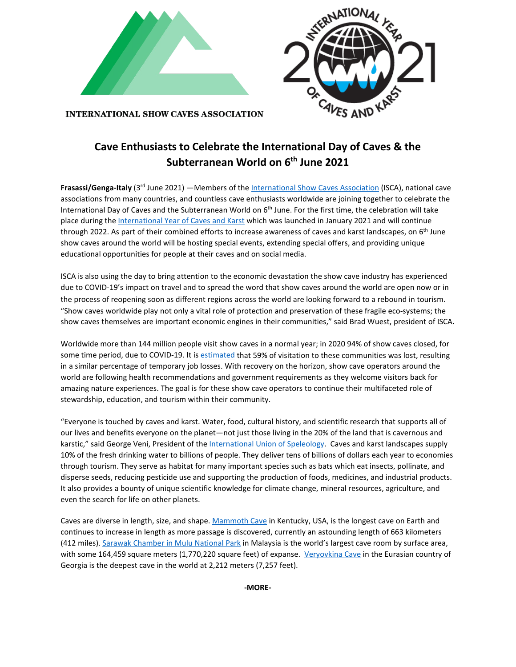



**INTERNATIONAL SHOW CAVES ASSOCIATION** 

## **Cave Enthusiasts to Celebrate the International Day of Caves & the Subterranean World on 6th June 2021**

**Frasassi/Genga-Italy** (3rd June 2021) —Members of the [International Show Caves Association](https://www.i-s-c-a.org/) (ISCA), national cave associations from many countries, and countless cave enthusiasts worldwide are joining together to celebrate the International Day of Caves and the Subterranean World on 6<sup>th</sup> June. For the first time, the celebration will take place during the [International Year of Caves and Karst](http://iyck2021.org/) which was launched in January 2021 and will continue through 2022. As part of their combined efforts to increase awareness of caves and karst landscapes, on 6<sup>th</sup> June show caves around the world will be hosting special events, extending special offers, and providing unique educational opportunities for people at their caves and on social media.

ISCA is also using the day to bring attention to the economic devastation the show cave industry has experienced due to COVID-19's impact on travel and to spread the word that show caves around the world are open now or in the process of reopening soon as different regions across the world are looking forward to a rebound in tourism. "Show caves worldwide play not only a vital role of protection and preservation of these fragile eco-systems; the show caves themselves are important economic engines in their communities," said Brad Wuest, president of ISCA.

Worldwide more than 144 million people visit show caves in a normal year; in 2020 94% of show caves closed, for some time period, due to COVID-19. It is [estimated](https://www.i-s-c-a.org/clanok/240-isca-announces-results-of-covid-19-survey) that 59% of visitation to these communities was lost, resulting in a similar percentage of temporary job losses. With recovery on the horizon, show cave operators around the world are following health recommendations and government requirements as they welcome visitors back for amazing nature experiences. The goal is for these show cave operators to continue their multifaceted role of stewardship, education, and tourism within their community.

"Everyone is touched by caves and karst. Water, food, cultural history, and scientific research that supports all of our lives and benefits everyone on the planet—not just those living in the 20% of the land that is cavernous and karstic," said George Veni, President of th[e International Union of Speleology.](https://uis-speleo.org/) Caves and karst landscapes supply 10% of the fresh drinking water to billions of people. They deliver tens of billions of dollars each year to economies through tourism. They serve as habitat for many important species such as bats which eat insects, pollinate, and disperse seeds, reducing pesticide use and supporting the production of foods, medicines, and industrial products. It also provides a bounty of unique scientific knowledge for climate change, mineral resources, agriculture, and even the search for life on other planets.

Caves are diverse in length, size, and shape. [Mammoth Cave](https://www.nps.gov/maca/index.htm) in Kentucky, USA, is the longest cave on Earth and continues to increase in length as more passage is discovered, currently an astounding length of 663 kilometers (412 miles). [Sarawak Chamber in Mulu National Park](https://mulupark.com/) in Malaysia is the world's largest cave room by surface area, with some 164,459 square meters (1,770,220 square feet) of expanse. [Veryovkina Cave](https://en.wikipedia.org/wiki/Veryovkina_Cave) in the Eurasian country of Georgia is the deepest cave in the world at 2,212 meters (7,257 feet).

**-MORE-**